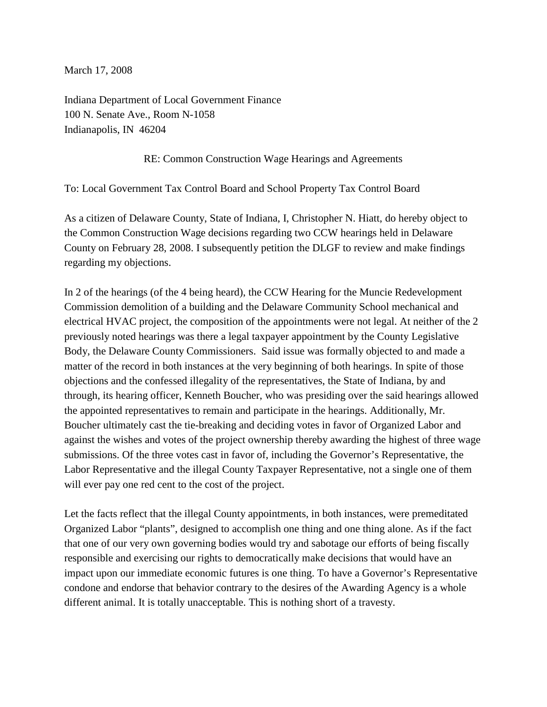March 17, 2008

Indiana Department of Local Government Finance 100 N. Senate Ave., Room N-1058 Indianapolis, IN 46204

## RE: Common Construction Wage Hearings and Agreements

To: Local Government Tax Control Board and School Property Tax Control Board

As a citizen of Delaware County, State of Indiana, I, Christopher N. Hiatt, do hereby object to the Common Construction Wage decisions regarding two CCW hearings held in Delaware County on February 28, 2008. I subsequently petition the DLGF to review and make findings regarding my objections.

In 2 of the hearings (of the 4 being heard), the CCW Hearing for the Muncie Redevelopment Commission demolition of a building and the Delaware Community School mechanical and electrical HVAC project, the composition of the appointments were not legal. At neither of the 2 previously noted hearings was there a legal taxpayer appointment by the County Legislative Body, the Delaware County Commissioners. Said issue was formally objected to and made a matter of the record in both instances at the very beginning of both hearings. In spite of those objections and the confessed illegality of the representatives, the State of Indiana, by and through, its hearing officer, Kenneth Boucher, who was presiding over the said hearings allowed the appointed representatives to remain and participate in the hearings. Additionally, Mr. Boucher ultimately cast the tie-breaking and deciding votes in favor of Organized Labor and against the wishes and votes of the project ownership thereby awarding the highest of three wage submissions. Of the three votes cast in favor of, including the Governor's Representative, the Labor Representative and the illegal County Taxpayer Representative, not a single one of them will ever pay one red cent to the cost of the project.

Let the facts reflect that the illegal County appointments, in both instances, were premeditated Organized Labor "plants", designed to accomplish one thing and one thing alone. As if the fact that one of our very own governing bodies would try and sabotage our efforts of being fiscally responsible and exercising our rights to democratically make decisions that would have an impact upon our immediate economic futures is one thing. To have a Governor's Representative condone and endorse that behavior contrary to the desires of the Awarding Agency is a whole different animal. It is totally unacceptable. This is nothing short of a travesty.